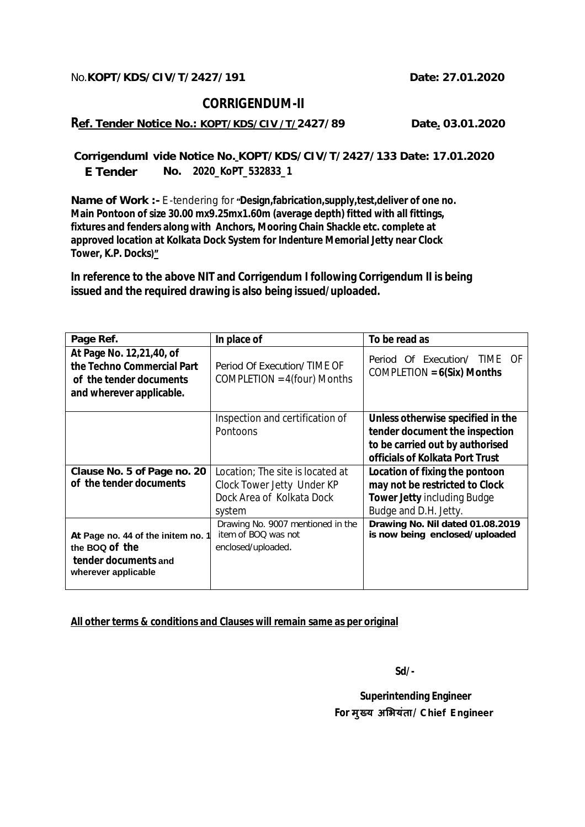## **CORRIGENDUM-II**

**Ref. Tender Notice No.: KOPT/KDS/CIV /T/2427/89 Date. 03.01.2020** 

**CorrigendumI vide Notice No. KOPT/KDS/CIV/T/2427/133 Date: 17.01.2020 No. 2020\_KoPT\_532833\_1 E Tender** 

**Name of Work :-** E-tendering for **"Design,fabrication,supply,test,deliver of one no. Main Pontoon of size 30.00 mx9.25mx1.60m (average depth) fitted with all fittings, fixtures and fenders along with Anchors, Mooring Chain Shackle etc. complete at approved location at Kolkata Dock System for Indenture Memorial Jetty near Clock Tower, K.P. Docks)***"*

**In reference to the above NIT and Corrigendum I following Corrigendum II is being issued and the required drawing is also being issued/uploaded.**

| Page Ref.                                                                                                     | In place of                                                                                           | To be read as                                                                                                                             |
|---------------------------------------------------------------------------------------------------------------|-------------------------------------------------------------------------------------------------------|-------------------------------------------------------------------------------------------------------------------------------------------|
| At Page No. 12,21,40, of<br>the Techno Commercial Part<br>of the tender documents<br>and wherever applicable. | Period Of Execution/TIME OF<br>COMPLETION = $4$ (four) Months                                         | Period Of Execution/ TIME OF<br>$COMPLETION = 6(Six)$ Months                                                                              |
|                                                                                                               | Inspection and certification of<br><b>Pontoons</b>                                                    | Unless otherwise specified in the<br>tender document the inspection<br>to be carried out by authorised<br>officials of Kolkata Port Trust |
| Clause No. 5 of Page no. 20<br>of the tender documents                                                        | Location; The site is located at<br>Clock Tower Jetty Under KP<br>Dock Area of Kolkata Dock<br>system | Location of fixing the pontoon<br>may not be restricted to Clock<br><b>Tower Jetty including Budge</b><br>Budge and D.H. Jetty.           |
| At Page no. 44 of the initem no. 1<br>the BOQ of the<br>tender documents and<br>wherever applicable           | Drawing No. 9007 mentioned in the<br>item of BOO was not<br>enclosed/uploaded.                        | Drawing No. Nil dated 01.08.2019<br>is now being enclosed/uploaded                                                                        |

**All other terms & conditions and Clauses will remain same as per original** 

**Sd/-**

 **Superintending Engineer For मुÉय अͧभयंता/ Chief Engineer**